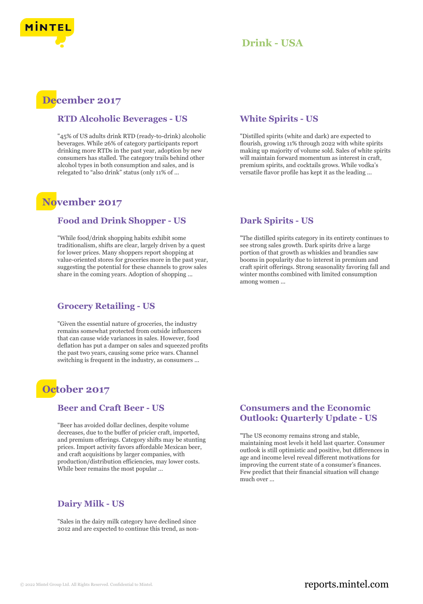

## **Drink - USA**

# **December 2017**

### **RTD Alcoholic Beverages - US**

"45% of US adults drink RTD (ready-to-drink) alcoholic beverages. While 26% of category participants report drinking more RTDs in the past year, adoption by new consumers has stalled. The category trails behind other alcohol types in both consumption and sales, and is relegated to "also drink" status (only 11% of ...

## **November 2017**

#### **Food and Drink Shopper - US**

"While food/drink shopping habits exhibit some traditionalism, shifts are clear, largely driven by a quest for lower prices. Many shoppers report shopping at value-oriented stores for groceries more in the past year, suggesting the potential for these channels to grow sales share in the coming years. Adoption of shopping ...

#### **Grocery Retailing - US**

"Given the essential nature of groceries, the industry remains somewhat protected from outside influencers that can cause wide variances in sales. However, food deflation has put a damper on sales and squeezed profits the past two years, causing some price wars. Channel switching is frequent in the industry, as consumers ...

## **October 2017**

## **Beer and Craft Beer - US**

"Beer has avoided dollar declines, despite volume decreases, due to the buffer of pricier craft, imported, and premium offerings. Category shifts may be stunting prices. Import activity favors affordable Mexican beer, and craft acquisitions by larger companies, with production/distribution efficiencies, may lower costs. While beer remains the most popular ...

## **Dairy Milk - US**

"Sales in the dairy milk category have declined since 2012 and are expected to continue this trend, as non-

## **White Spirits - US**

"Distilled spirits (white and dark) are expected to flourish, growing 11% through 2022 with white spirits making up majority of volume sold. Sales of white spirits will maintain forward momentum as interest in craft, premium spirits, and cocktails grows. While vodka's versatile flavor profile has kept it as the leading ...

## **Dark Spirits - US**

"The distilled spirits category in its entirety continues to see strong sales growth. Dark spirits drive a large portion of that growth as whiskies and brandies saw booms in popularity due to interest in premium and craft spirit offerings. Strong seasonality favoring fall and winter months combined with limited consumption among women ...

## **Consumers and the Economic Outlook: Quarterly Update - US**

"The US economy remains strong and stable, maintaining most levels it held last quarter. Consumer outlook is still optimistic and positive, but differences in age and income level reveal different motivations for improving the current state of a consumer's finances. Few predict that their financial situation will change much over ...